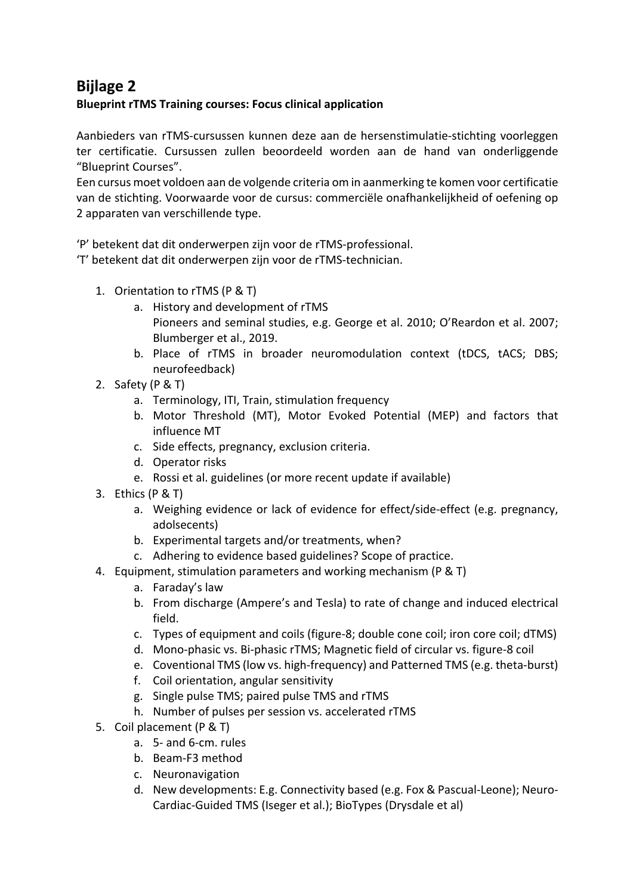## **Bijlage 2**

## **Blueprint rTMS Training courses: Focus clinical application**

Aanbieders van rTMS-cursussen kunnen deze aan de hersenstimulatie-stichting voorleggen ter certificatie. Cursussen zullen beoordeeld worden aan de hand van onderliggende "Blueprint Courses".

Een cursus moet voldoen aan de volgende criteria om in aanmerking te komen voor certificatie van de stichting. Voorwaarde voor de cursus: commerciële onafhankelijkheid of oefening op 2 apparaten van verschillende type.

'P' betekent dat dit onderwerpen zijn voor de rTMS-professional.

'T' betekent dat dit onderwerpen zijn voor de rTMS-technician.

- 1. Orientation to rTMS (P & T)
	- a. History and development of rTMS Pioneers and seminal studies, e.g. George et al. 2010; O'Reardon et al. 2007; Blumberger et al., 2019.
	- b. Place of rTMS in broader neuromodulation context (tDCS, tACS; DBS; neurofeedback)
- 2. Safety (P & T)
	- a. Terminology, ITI, Train, stimulation frequency
	- b. Motor Threshold (MT), Motor Evoked Potential (MEP) and factors that influence MT
	- c. Side effects, pregnancy, exclusion criteria.
	- d. Operator risks
	- e. Rossi et al. guidelines (or more recent update if available)
- 3. Ethics (P & T)
	- a. Weighing evidence or lack of evidence for effect/side-effect (e.g. pregnancy, adolsecents)
	- b. Experimental targets and/or treatments, when?
	- c. Adhering to evidence based guidelines? Scope of practice.
- 4. Equipment, stimulation parameters and working mechanism (P & T)
	- a. Faraday's law
	- b. From discharge (Ampere's and Tesla) to rate of change and induced electrical field.
	- c. Types of equipment and coils (figure-8; double cone coil; iron core coil; dTMS)
	- d. Mono-phasic vs. Bi-phasic rTMS; Magnetic field of circular vs. figure-8 coil
	- e. Coventional TMS (low vs. high-frequency) and Patterned TMS (e.g. theta-burst)
	- f. Coil orientation, angular sensitivity
	- g. Single pulse TMS; paired pulse TMS and rTMS
	- h. Number of pulses per session vs. accelerated rTMS
- 5. Coil placement (P & T)
	- a. 5- and 6-cm. rules
	- b. Beam-F3 method
	- c. Neuronavigation
	- d. New developments: E.g. Connectivity based (e.g. Fox & Pascual-Leone); Neuro-Cardiac-Guided TMS (Iseger et al.); BioTypes (Drysdale et al)